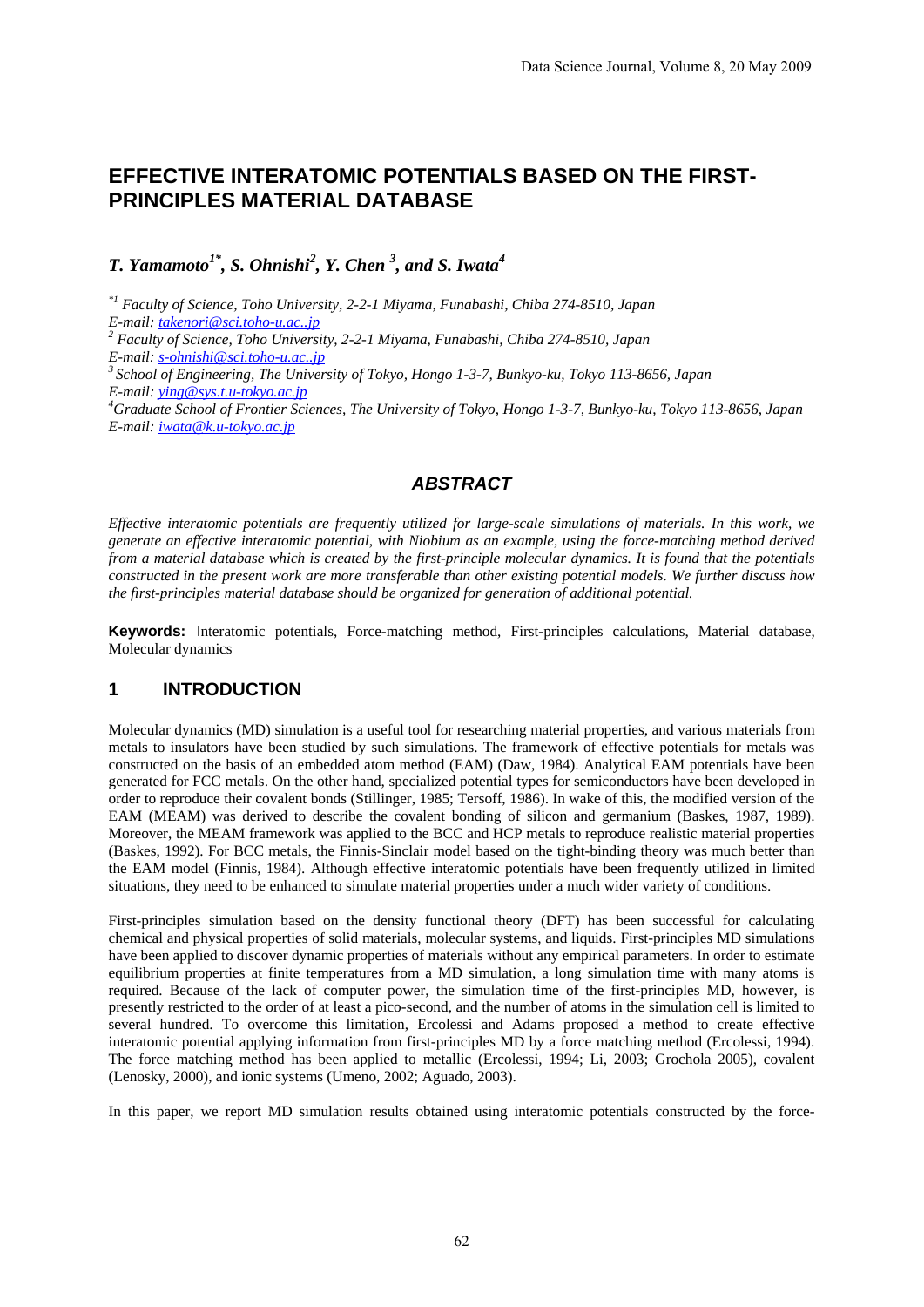# **EFFECTIVE INTERATOMIC POTENTIALS BASED ON THE FIRST-PRINCIPLES MATERIAL DATABASE**

# *T. Yamamoto<sup>1\*</sup>, S. Ohnishi<sup>2</sup>, Y. Chen<sup>3</sup>, and S. Iwata<sup>4</sup>*

*\*1 Faculty of Science, Toho University, 2-2-1 Miyama, Funabashi, Chiba 274-8510, Japan E-mail: takenori@sci.toho-u.ac..jp <sup>2</sup> Faculty of Science, Toho University, 2-2-1 Miyama, Funabashi, Chiba 274-8510, Japan E-mail: s-ohnishi@sci.toho-u.ac..jp 3 School of Engineering, The University of Tokyo, Hongo 1-3-7, Bunkyo-ku, Tokyo 113-8656, Japan E-mail: ying@sys.t.u-tokyo.ac.jp <sup>4</sup> Graduate School of Frontier Sciences, The University of Tokyo, Hongo 1-3-7, Bunkyo-ku, Tokyo 113-8656, Japan E-mail: iwata@k.u-tokyo.ac.jp*

# *ABSTRACT*

*Effective interatomic potentials are frequently utilized for large-scale simulations of materials. In this work, we generate an effective interatomic potential, with Niobium as an example, using the force-matching method derived from a material database which is created by the first-principle molecular dynamics. It is found that the potentials constructed in the present work are more transferable than other existing potential models. We further discuss how the first-principles material database should be organized for generation of additional potential.*

**Keywords:** Interatomic potentials, Force-matching method, First-principles calculations, Material database, Molecular dynamics

# **1 INTRODUCTION**

Molecular dynamics (MD) simulation is a useful tool for researching material properties, and various materials from metals to insulators have been studied by such simulations. The framework of effective potentials for metals was constructed on the basis of an embedded atom method (EAM) (Daw, 1984). Analytical EAM potentials have been generated for FCC metals. On the other hand, specialized potential types for semiconductors have been developed in order to reproduce their covalent bonds (Stillinger, 1985; Tersoff, 1986). In wake of this, the modified version of the EAM (MEAM) was derived to describe the covalent bonding of silicon and germanium (Baskes, 1987, 1989). Moreover, the MEAM framework was applied to the BCC and HCP metals to reproduce realistic material properties (Baskes, 1992). For BCC metals, the Finnis-Sinclair model based on the tight-binding theory was much better than the EAM model (Finnis, 1984). Although effective interatomic potentials have been frequently utilized in limited situations, they need to be enhanced to simulate material properties under a much wider variety of conditions.

First-principles simulation based on the density functional theory (DFT) has been successful for calculating chemical and physical properties of solid materials, molecular systems, and liquids. First-principles MD simulations have been applied to discover dynamic properties of materials without any empirical parameters. In order to estimate equilibrium properties at finite temperatures from a MD simulation, a long simulation time with many atoms is required. Because of the lack of computer power, the simulation time of the first-principles MD, however, is presently restricted to the order of at least a pico-second, and the number of atoms in the simulation cell is limited to several hundred. To overcome this limitation, Ercolessi and Adams proposed a method to create effective interatomic potential applying information from first-principles MD by a force matching method (Ercolessi, 1994). The force matching method has been applied to metallic (Ercolessi, 1994; Li, 2003; Grochola 2005), covalent (Lenosky, 2000), and ionic systems (Umeno, 2002; Aguado, 2003).

In this paper, we report MD simulation results obtained using interatomic potentials constructed by the force-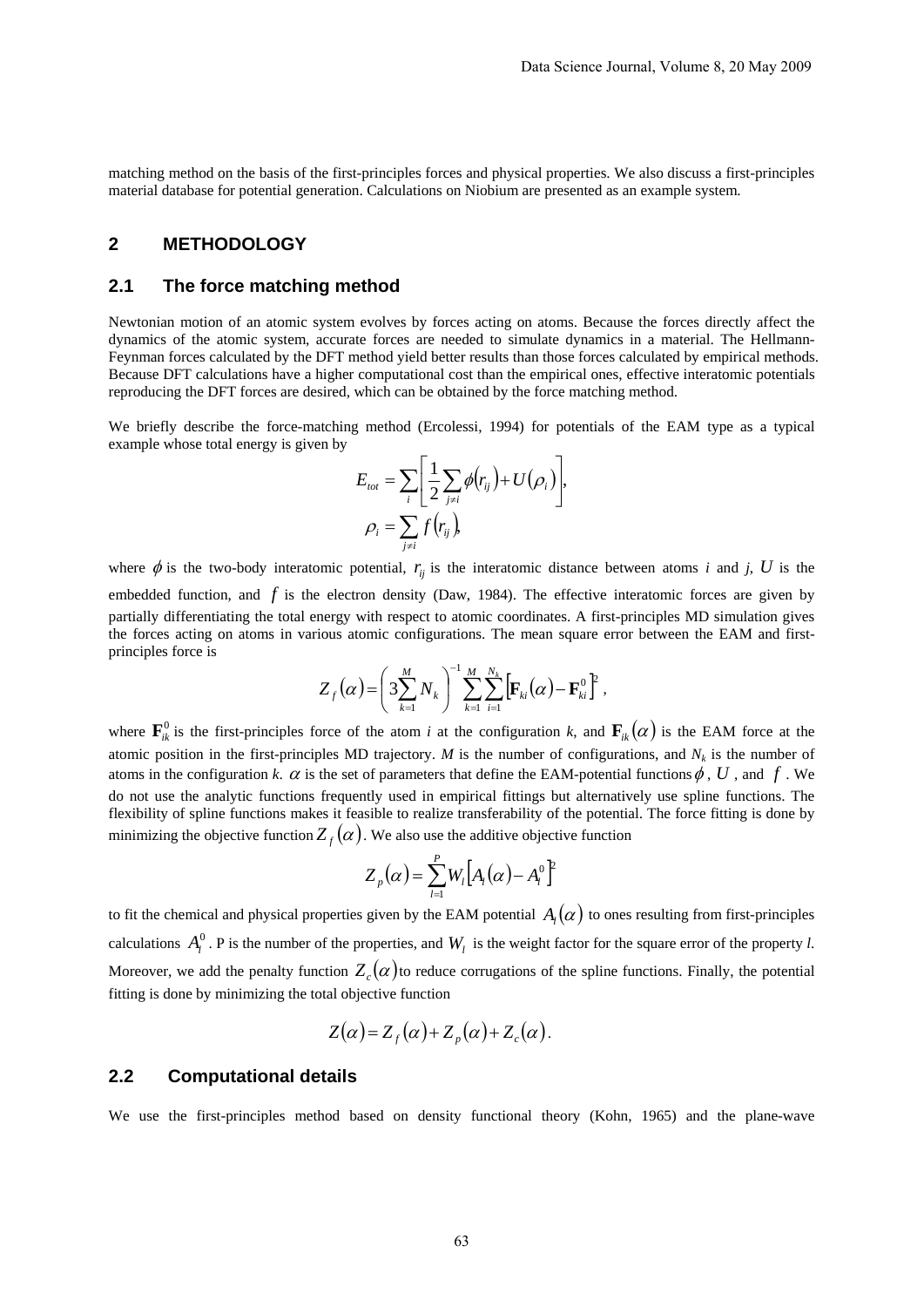matching method on the basis of the first-principles forces and physical properties. We also discuss a first-principles material database for potential generation. Calculations on Niobium are presented as an example system.

#### **2 METHODOLOGY**

#### **2.1 The force matching method**

Newtonian motion of an atomic system evolves by forces acting on atoms. Because the forces directly affect the dynamics of the atomic system, accurate forces are needed to simulate dynamics in a material. The Hellmann-Feynman forces calculated by the DFT method yield better results than those forces calculated by empirical methods. Because DFT calculations have a higher computational cost than the empirical ones, effective interatomic potentials reproducing the DFT forces are desired, which can be obtained by the force matching method.

We briefly describe the force-matching method (Ercolessi, 1994) for potentials of the EAM type as a typical example whose total energy is given by

$$
E_{tot} = \sum_{i} \left[ \frac{1}{2} \sum_{j \neq i} \phi(r_{ij}) + U(\rho_i) \right],
$$
  

$$
\rho_i = \sum_{j \neq i} f(r_{ij}),
$$

where  $\phi$  is the two-body interatomic potential,  $r_{ii}$  is the interatomic distance between atoms *i* and *j*, *U* is the embedded function, and f is the electron density (Daw, 1984). The effective interatomic forces are given by partially differentiating the total energy with respect to atomic coordinates. A first-principles MD simulation gives the forces acting on atoms in various atomic configurations. The mean square error between the EAM and firstprinciples force is

$$
Z_f(\alpha) = \left(3 \sum_{k=1}^M N_k\right)^{-1} \sum_{k=1}^M \sum_{i=1}^{N_k} \left[ \mathbf{F}_{ki}(\alpha) - \mathbf{F}_{ki}^0 \right]^2,
$$

where  $\mathbf{F}_{ik}^0$  is the first-principles force of the atom *i* at the configuration *k*, and  $\mathbf{F}_{ik}(\alpha)$  is the EAM force at the atomic position in the first-principles MD trajectory. *M* is the number of configurations, and  $N_k$  is the number of atoms in the configuration *k*.  $\alpha$  is the set of parameters that define the EAM-potential functions  $\phi$ ,  $U$ , and  $f$ . We do not use the analytic functions frequently used in empirical fittings but alternatively use spline functions. The flexibility of spline functions makes it feasible to realize transferability of the potential. The force fitting is done by minimizing the objective function  $Z_f(\alpha)$ . We also use the additive objective function

$$
Z_p(\alpha) = \sum_{l=1}^p W_l \big[A_l(\alpha) - A_l^0\big]^2
$$

to fit the chemical and physical properties given by the EAM potential  $A_l(\alpha)$  to ones resulting from first-principles calculations  $A_l^0$ . P is the number of the properties, and  $W_l$  is the weight factor for the square error of the property *l*. Moreover, we add the penalty function  $Z_c(\alpha)$  to reduce corrugations of the spline functions. Finally, the potential fitting is done by minimizing the total objective function

$$
Z(\alpha) = Z_f(\alpha) + Z_p(\alpha) + Z_c(\alpha).
$$

#### **2.2 Computational details**

We use the first-principles method based on density functional theory (Kohn, 1965) and the plane-wave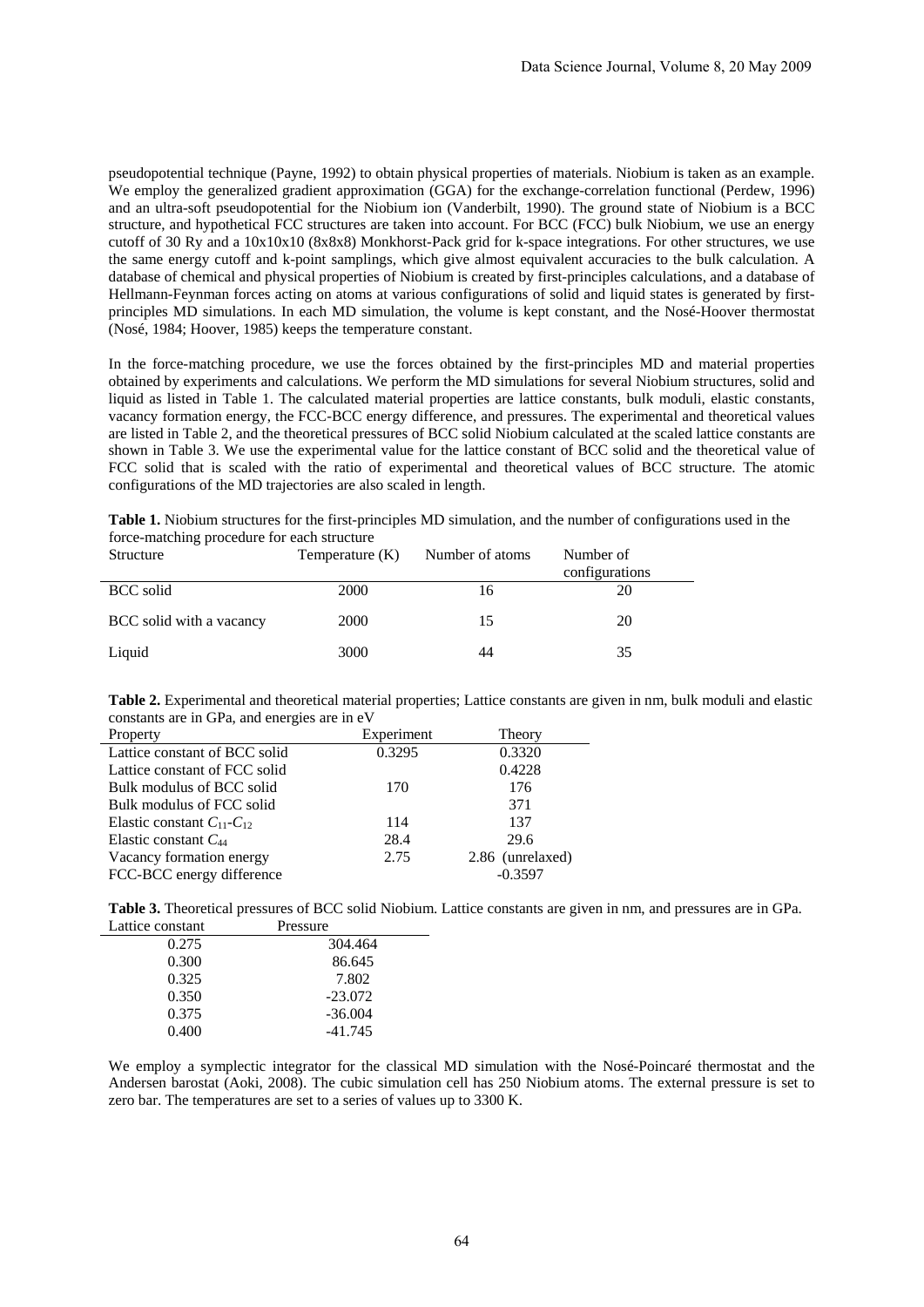pseudopotential technique (Payne, 1992) to obtain physical properties of materials. Niobium is taken as an example. We employ the generalized gradient approximation (GGA) for the exchange-correlation functional (Perdew, 1996) and an ultra-soft pseudopotential for the Niobium ion (Vanderbilt, 1990). The ground state of Niobium is a BCC structure, and hypothetical FCC structures are taken into account. For BCC (FCC) bulk Niobium, we use an energy cutoff of 30 Ry and a 10x10x10 (8x8x8) Monkhorst-Pack grid for k-space integrations. For other structures, we use the same energy cutoff and k-point samplings, which give almost equivalent accuracies to the bulk calculation. A database of chemical and physical properties of Niobium is created by first-principles calculations, and a database of Hellmann-Feynman forces acting on atoms at various configurations of solid and liquid states is generated by firstprinciples MD simulations. In each MD simulation, the volume is kept constant, and the Nosé-Hoover thermostat (Nosé, 1984; Hoover, 1985) keeps the temperature constant.

In the force-matching procedure, we use the forces obtained by the first-principles MD and material properties obtained by experiments and calculations. We perform the MD simulations for several Niobium structures, solid and liquid as listed in Table 1. The calculated material properties are lattice constants, bulk moduli, elastic constants, vacancy formation energy, the FCC-BCC energy difference, and pressures. The experimental and theoretical values are listed in Table 2, and the theoretical pressures of BCC solid Niobium calculated at the scaled lattice constants are shown in Table 3. We use the experimental value for the lattice constant of BCC solid and the theoretical value of FCC solid that is scaled with the ratio of experimental and theoretical values of BCC structure. The atomic configurations of the MD trajectories are also scaled in length.

**Table 1.** Niobium structures for the first-principles MD simulation, and the number of configurations used in the force-matching procedure for each structure

| Structure                | Temperature (K) | Number of atoms | Number of<br>configurations |
|--------------------------|-----------------|-----------------|-----------------------------|
| <b>BCC</b> solid         | <b>2000</b>     | 16              | 20                          |
| BCC solid with a vacancy | 2000            | 15              | 20                          |
| Liquid                   | 3000            | 44              | 35                          |

**Table 2.** Experimental and theoretical material properties; Lattice constants are given in nm, bulk moduli and elastic constants are in GPa, and energies are in eV

| Property                             | Experiment | Theory           |
|--------------------------------------|------------|------------------|
| Lattice constant of BCC solid        | 0.3295     | 0.3320           |
| Lattice constant of FCC solid        |            | 0.4228           |
| Bulk modulus of BCC solid            | 170        | 176              |
| Bulk modulus of FCC solid            |            | 371              |
| Elastic constant $C_{11}$ - $C_{12}$ | 114        | 137              |
| Elastic constant $C_{44}$            | 28.4       | 29.6             |
| Vacancy formation energy             | 2.75       | 2.86 (unrelaxed) |
| FCC-BCC energy difference            |            | $-0.3597$        |

**Table 3.** Theoretical pressures of BCC solid Niobium. Lattice constants are given in nm, and pressures are in GPa. Lattice constant Pressure

| писе сонмані | <b>FICSSUIC</b> |
|--------------|-----------------|
| 0.275        | 304.464         |
| 0.300        | 86.645          |
| 0.325        | 7.802           |
| 0.350        | $-23.072$       |
| 0.375        | $-36.004$       |
| 0.400        | $-41.745$       |
|              |                 |

We employ a symplectic integrator for the classical MD simulation with the Nosé-Poincaré thermostat and the Andersen barostat (Aoki, 2008). The cubic simulation cell has 250 Niobium atoms. The external pressure is set to zero bar. The temperatures are set to a series of values up to 3300 K.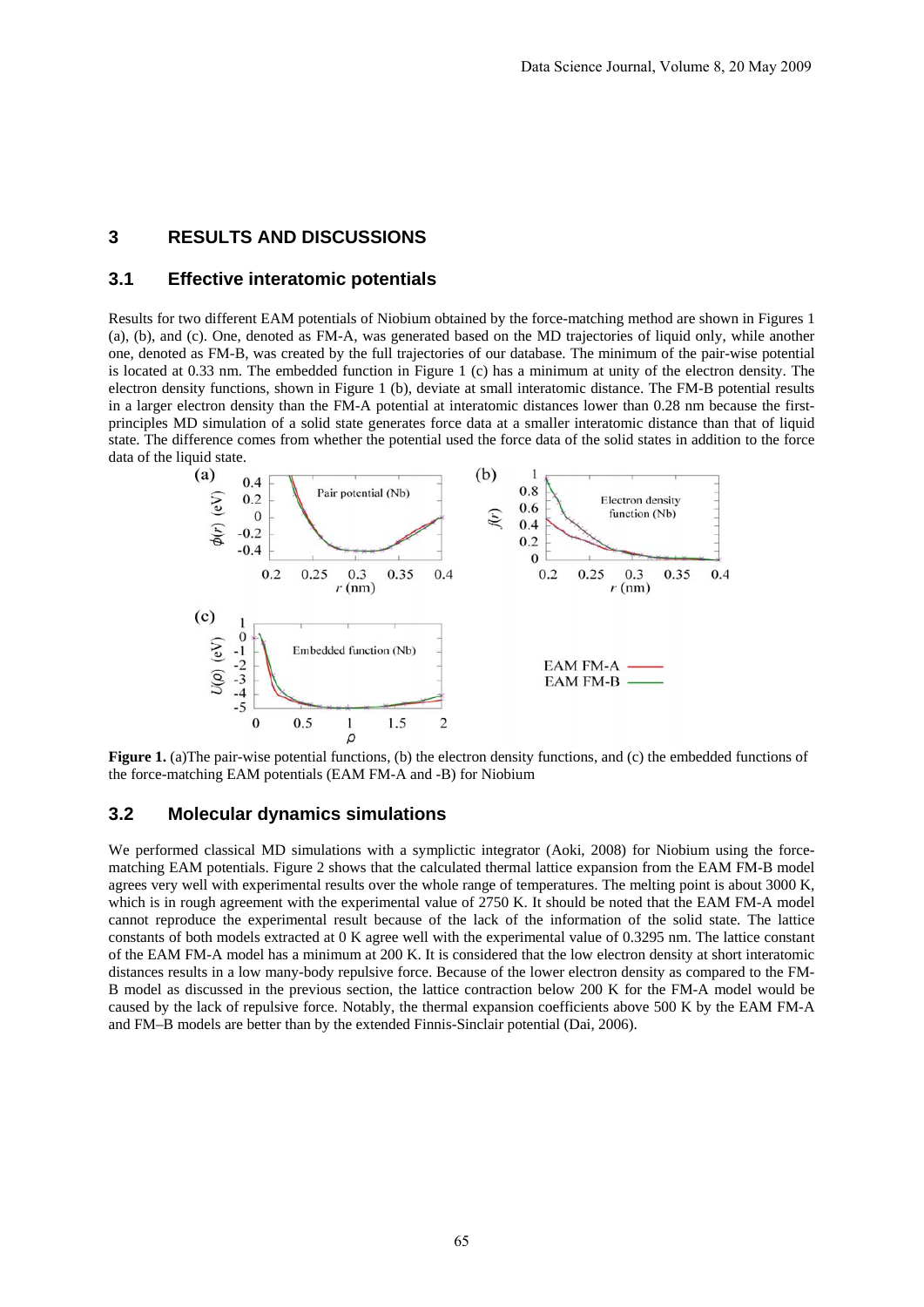### **3 RESULTS AND DISCUSSIONS**

#### **3.1 Effective interatomic potentials**

Results for two different EAM potentials of Niobium obtained by the force-matching method are shown in Figures 1 (a), (b), and (c). One, denoted as FM-A, was generated based on the MD trajectories of liquid only, while another one, denoted as FM-B, was created by the full trajectories of our database. The minimum of the pair-wise potential is located at 0.33 nm. The embedded function in Figure 1 (c) has a minimum at unity of the electron density. The electron density functions, shown in Figure 1 (b), deviate at small interatomic distance. The FM-B potential results in a larger electron density than the FM-A potential at interatomic distances lower than 0.28 nm because the firstprinciples MD simulation of a solid state generates force data at a smaller interatomic distance than that of liquid state. The difference comes from whether the potential used the force data of the solid states in addition to the force data of the liquid state.



**Figure 1.** (a)The pair-wise potential functions, (b) the electron density functions, and (c) the embedded functions of the force-matching EAM potentials (EAM FM-A and -B) for Niobium

#### **3.2 Molecular dynamics simulations**

We performed classical MD simulations with a symplictic integrator (Aoki, 2008) for Niobium using the forcematching EAM potentials. Figure 2 shows that the calculated thermal lattice expansion from the EAM FM-B model agrees very well with experimental results over the whole range of temperatures. The melting point is about 3000 K, which is in rough agreement with the experimental value of 2750 K. It should be noted that the EAM FM-A model cannot reproduce the experimental result because of the lack of the information of the solid state. The lattice constants of both models extracted at 0 K agree well with the experimental value of 0.3295 nm. The lattice constant of the EAM FM-A model has a minimum at 200 K. It is considered that the low electron density at short interatomic distances results in a low many-body repulsive force. Because of the lower electron density as compared to the FM-B model as discussed in the previous section, the lattice contraction below 200 K for the FM-A model would be caused by the lack of repulsive force. Notably, the thermal expansion coefficients above 500 K by the EAM FM-A and FM–B models are better than by the extended Finnis-Sinclair potential (Dai, 2006).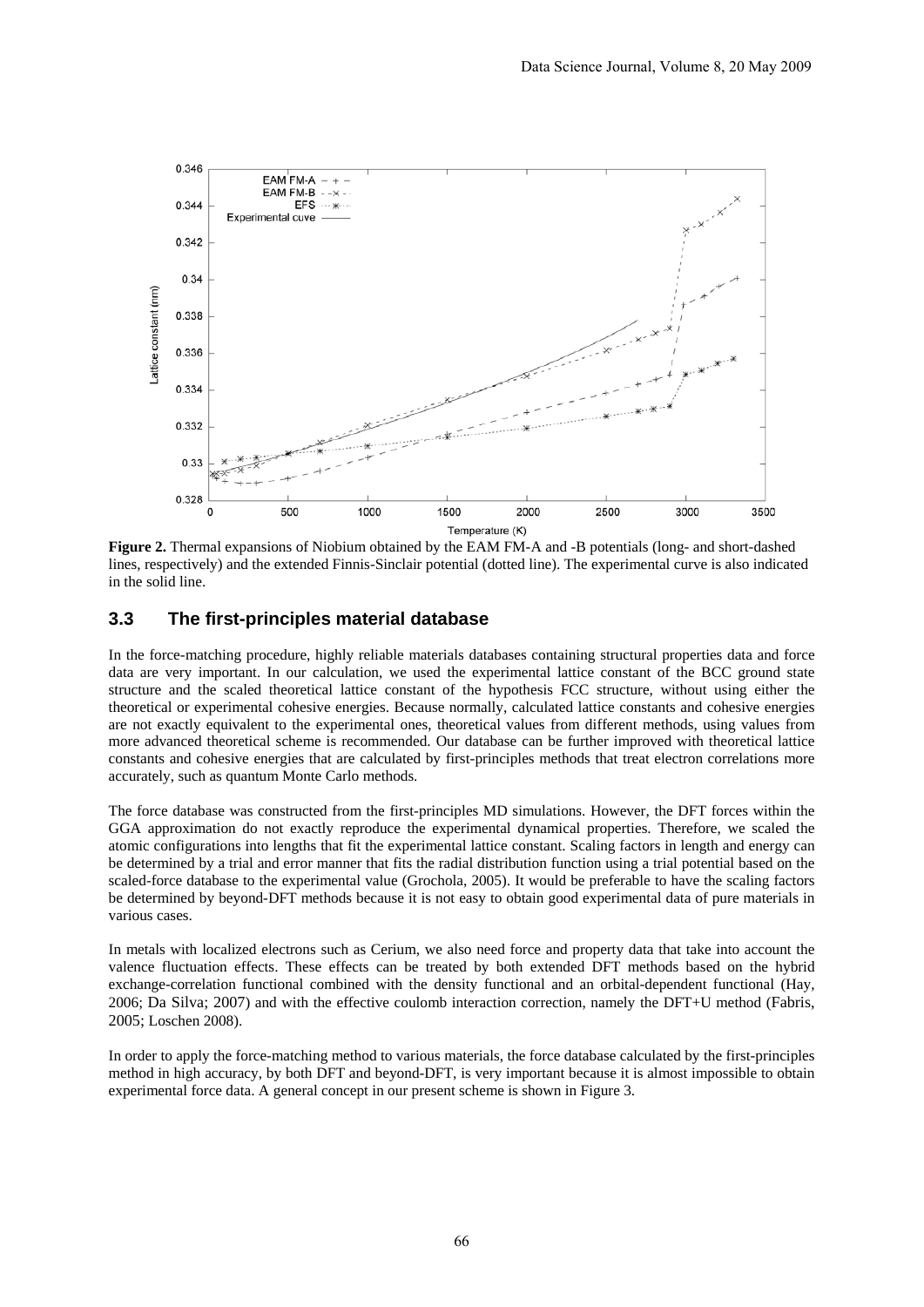

**Figure 2.** Thermal expansions of Niobium obtained by the EAM FM-A and -B potentials (long- and short-dashed lines, respectively) and the extended Finnis-Sinclair potential (dotted line). The experimental curve is also indicated in the solid line.

### **3.3 The first-principles material database**

In the force-matching procedure, highly reliable materials databases containing structural properties data and force data are very important. In our calculation, we used the experimental lattice constant of the BCC ground state structure and the scaled theoretical lattice constant of the hypothesis FCC structure, without using either the theoretical or experimental cohesive energies. Because normally, calculated lattice constants and cohesive energies are not exactly equivalent to the experimental ones, theoretical values from different methods, using values from more advanced theoretical scheme is recommended. Our database can be further improved with theoretical lattice constants and cohesive energies that are calculated by first-principles methods that treat electron correlations more accurately, such as quantum Monte Carlo methods.

The force database was constructed from the first-principles MD simulations. However, the DFT forces within the GGA approximation do not exactly reproduce the experimental dynamical properties. Therefore, we scaled the atomic configurations into lengths that fit the experimental lattice constant. Scaling factors in length and energy can be determined by a trial and error manner that fits the radial distribution function using a trial potential based on the scaled-force database to the experimental value (Grochola, 2005). It would be preferable to have the scaling factors be determined by beyond-DFT methods because it is not easy to obtain good experimental data of pure materials in various cases.

In metals with localized electrons such as Cerium, we also need force and property data that take into account the valence fluctuation effects. These effects can be treated by both extended DFT methods based on the hybrid exchange-correlation functional combined with the density functional and an orbital-dependent functional (Hay, 2006; Da Silva; 2007) and with the effective coulomb interaction correction, namely the DFT+U method (Fabris, 2005; Loschen 2008).

In order to apply the force-matching method to various materials, the force database calculated by the first-principles method in high accuracy, by both DFT and beyond-DFT, is very important because it is almost impossible to obtain experimental force data. A general concept in our present scheme is shown in Figure 3.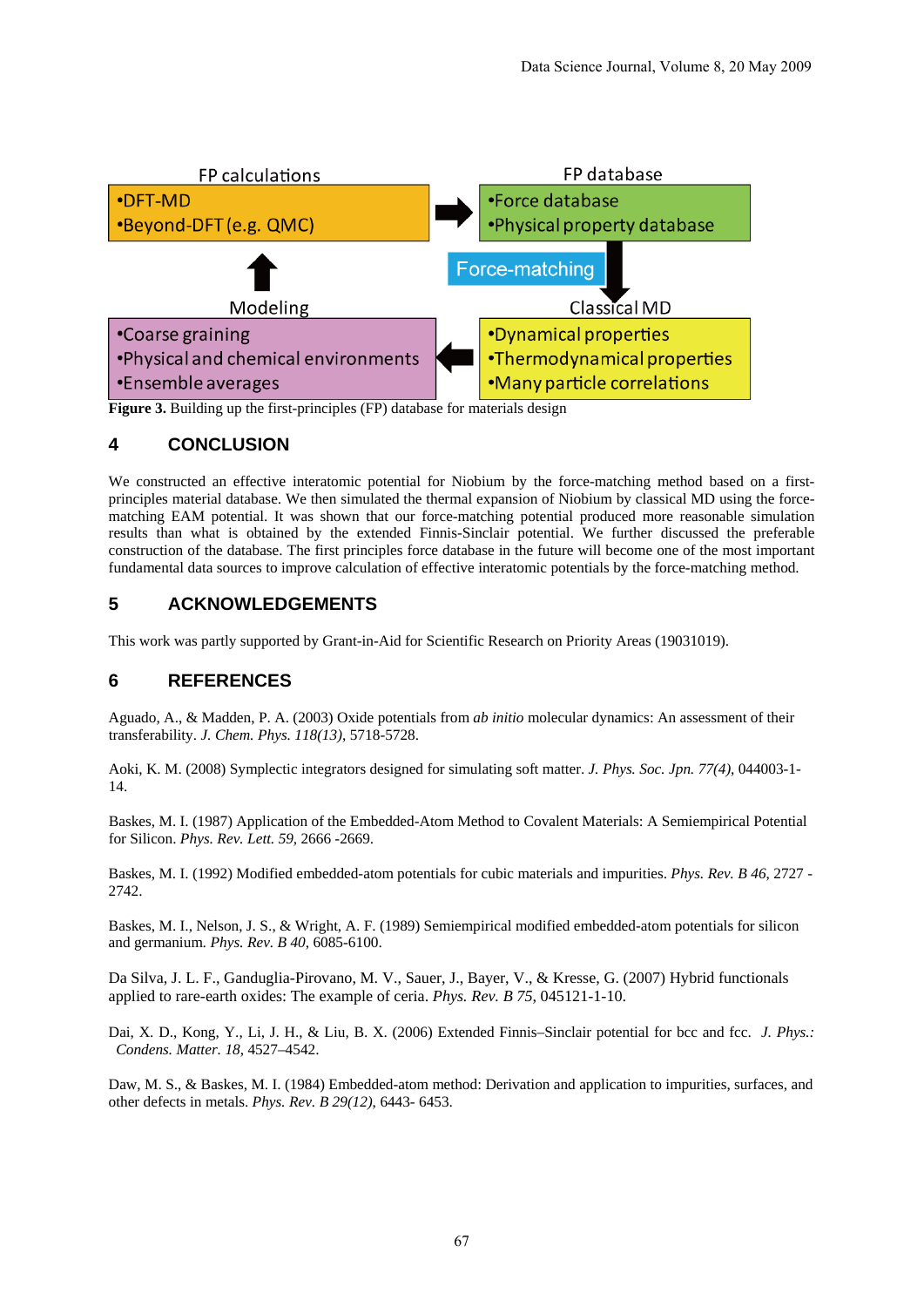

**Figure 3.** Building up the first-principles (FP) database for materials design

### **4 CONCLUSION**

We constructed an effective interatomic potential for Niobium by the force-matching method based on a firstprinciples material database. We then simulated the thermal expansion of Niobium by classical MD using the forcematching EAM potential. It was shown that our force-matching potential produced more reasonable simulation results than what is obtained by the extended Finnis-Sinclair potential. We further discussed the preferable construction of the database. The first principles force database in the future will become one of the most important fundamental data sources to improve calculation of effective interatomic potentials by the force-matching method.

### **5 ACKNOWLEDGEMENTS**

This work was partly supported by Grant-in-Aid for Scientific Research on Priority Areas (19031019).

### **6 REFERENCES**

Aguado, A., & Madden, P. A. (2003) Oxide potentials from *ab initio* molecular dynamics: An assessment of their transferability. *J. Chem. Phys. 118(13)*, 5718-5728.

Aoki, K. M. (2008) Symplectic integrators designed for simulating soft matter. *J. Phys. Soc. Jpn. 77(4)*, 044003-1- 14.

Baskes, M. I. (1987) Application of the Embedded-Atom Method to Covalent Materials: A Semiempirical Potential for Silicon. *Phys. Rev. Lett. 59*, 2666 -2669.

Baskes, M. I. (1992) Modified embedded-atom potentials for cubic materials and impurities. *Phys. Rev. B 46*, 2727 - 2742.

Baskes, M. I., Nelson, J. S., & Wright, A. F. (1989) Semiempirical modified embedded-atom potentials for silicon and germanium. *Phys. Rev. B 40*, 6085-6100.

Da Silva, J. L. F., Ganduglia-Pirovano, M. V., Sauer, J., Bayer, V., & Kresse, G. (2007) Hybrid functionals applied to rare-earth oxides: The example of ceria. *Phys. Rev. B 75*, 045121-1-10.

Dai, X. D., Kong, Y., Li, J. H., & Liu, B. X. (2006) Extended Finnis–Sinclair potential for bcc and fcc. *J. Phys.: Condens. Matter. 18*, 4527–4542.

Daw, M. S., & Baskes, M. I. (1984) Embedded-atom method: Derivation and application to impurities, surfaces, and other defects in metals. *Phys. Rev. B 29(12)*, 6443- 6453.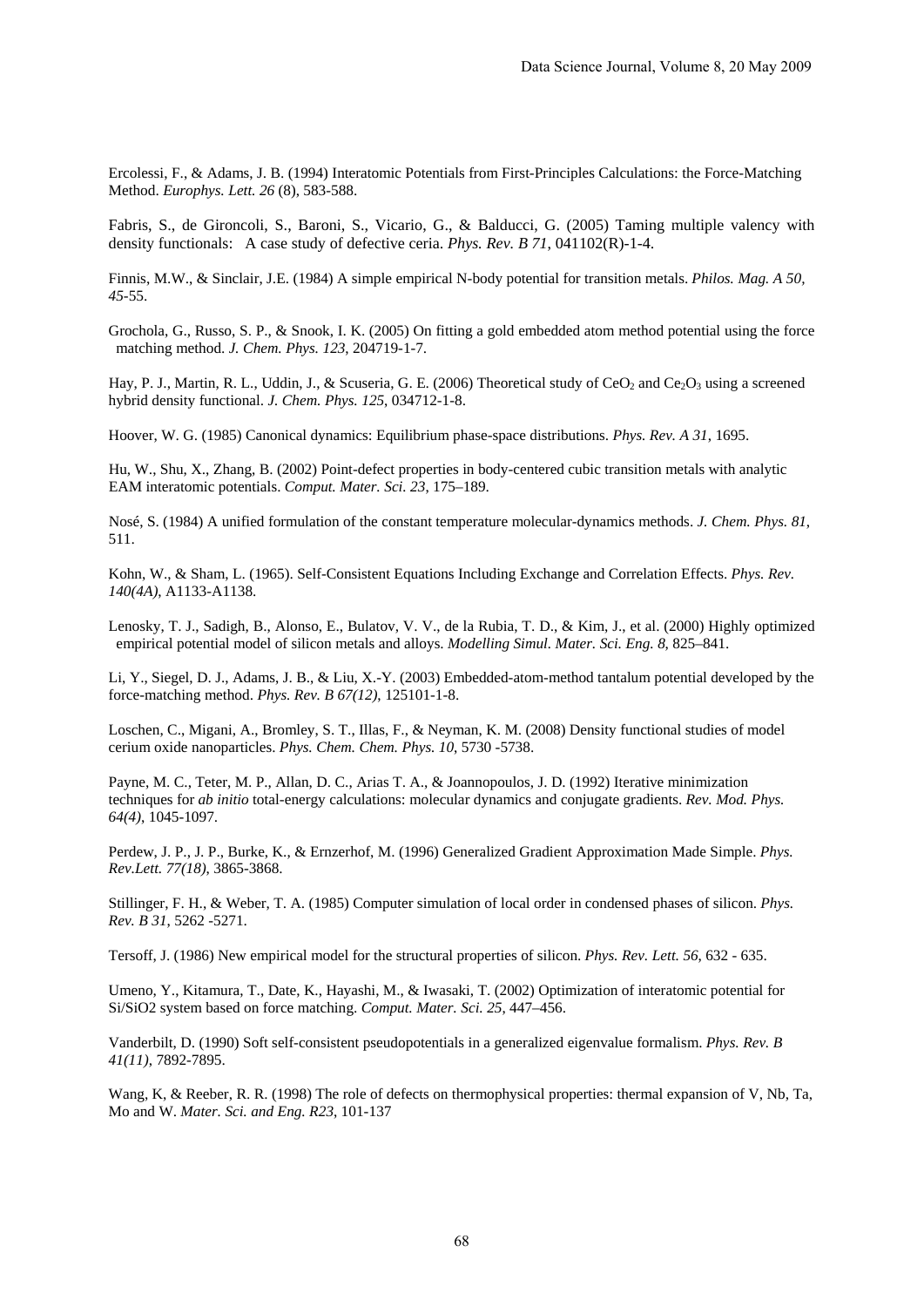Ercolessi, F., & Adams, J. B. (1994) Interatomic Potentials from First-Principles Calculations: the Force-Matching Method. *Europhys. Lett. 26* (8), 583-588.

Fabris, S., de Gironcoli, S., Baroni, S., Vicario, G., & Balducci, G. (2005) Taming multiple valency with density functionals: A case study of defective ceria. *Phys. Rev. B 71*, 041102(R)-1-4.

Finnis, M.W., & Sinclair, J.E. (1984) A simple empirical N-body potential for transition metals. *Philos. Mag. A 50, 45*-55.

Grochola, G., Russo, S. P., & Snook, I. K. (2005) On fitting a gold embedded atom method potential using the force matching method. *J. Chem. Phys. 123*, 204719-1-7.

Hay, P. J., Martin, R. L., Uddin, J., & Scuseria, G. E. (2006) Theoretical study of  $CeO<sub>2</sub>$  and  $Ce<sub>2</sub>O<sub>3</sub>$  using a screened hybrid density functional. *J. Chem. Phys. 125*, 034712-1-8.

Hoover, W. G. (1985) Canonical dynamics: Equilibrium phase-space distributions. *Phys. Rev. A 31*, 1695.

Hu, W., Shu, X., Zhang, B. (2002) Point-defect properties in body-centered cubic transition metals with analytic EAM interatomic potentials. *Comput. Mater. Sci. 23*, 175–189.

Nosé, S. (1984) A unified formulation of the constant temperature molecular-dynamics methods. *J. Chem. Phys. 81*, 511.

Kohn, W., & Sham, L. (1965). Self-Consistent Equations Including Exchange and Correlation Effects. *Phys. Rev. 140(4A)*, A1133-A1138.

Lenosky, T. J., Sadigh, B., Alonso, E., Bulatov, V. V., de la Rubia, T. D., & Kim, J., et al. (2000) Highly optimized empirical potential model of silicon metals and alloys. *Modelling Simul. Mater. Sci. Eng. 8*, 825–841.

Li, Y., Siegel, D. J., Adams, J. B., & Liu, X.-Y. (2003) Embedded-atom-method tantalum potential developed by the force-matching method. *Phys. Rev. B 67(12)*, 125101-1-8.

Loschen, C., Migani, A., Bromley, S. T., Illas, F., & Neyman, K. M. (2008) Density functional studies of model cerium oxide nanoparticles. *Phys. Chem. Chem. Phys. 10*, 5730 -5738.

Payne, M. C., Teter, M. P., Allan, D. C., Arias T. A., & Joannopoulos, J. D. (1992) Iterative minimization techniques for *ab initio* total-energy calculations: molecular dynamics and conjugate gradients. *Rev. Mod. Phys. 64(4)*, 1045-1097.

Perdew, J. P., J. P., Burke, K., & Ernzerhof, M. (1996) Generalized Gradient Approximation Made Simple. *Phys. Rev.Lett. 77(18)*, 3865-3868.

Stillinger, F. H., & Weber, T. A. (1985) Computer simulation of local order in condensed phases of silicon. *Phys. Rev. B 31*, 5262 -5271.

Tersoff, J. (1986) New empirical model for the structural properties of silicon. *Phys. Rev. Lett. 56*, 632 - 635.

Umeno, Y., Kitamura, T., Date, K., Hayashi, M., & Iwasaki, T. (2002) Optimization of interatomic potential for Si/SiO2 system based on force matching. *Comput. Mater. Sci. 25*, 447–456.

Vanderbilt, D. (1990) Soft self-consistent pseudopotentials in a generalized eigenvalue formalism. *Phys. Rev. B 41(11)*, 7892-7895.

Wang, K, & Reeber, R. R. (1998) The role of defects on thermophysical properties: thermal expansion of V, Nb, Ta, Mo and W. *Mater. Sci. and Eng. R23*, 101-137